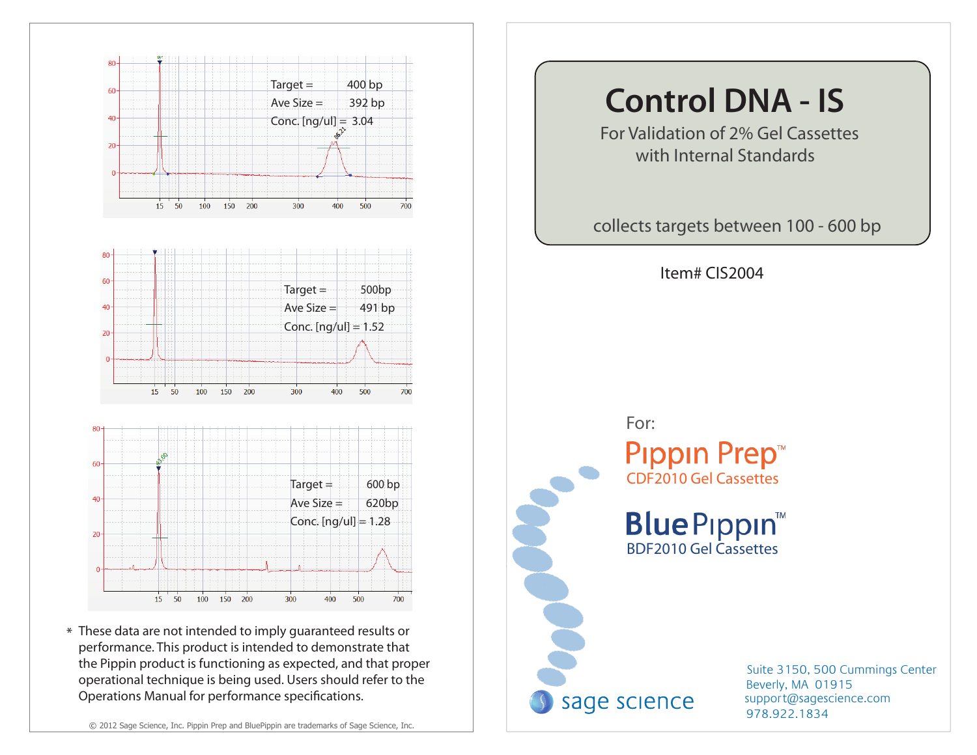

\* These data are not intended to imply guaranteed results or performance. This product is intended to demonstrate that the Pippin product is functioning as expected, and that proper operational technique is being used. Users should refer to the Operations Manual for performance specifications.

# For Validation of 2% Gel Cassettes with Internal Standards collects targets between 100 - 600 bp Item# CIS2004 For: **Pippin Prep<sup>™</sup>** CDF2010 Gel Cassettes **BlueP**ippin™ BDF2010 Gel Cassettes sage science

**Control DNA - IS**

978.922.1834 support@sagescience.com Suite 3150, 500 Cummings Center Beverly, MA 01915